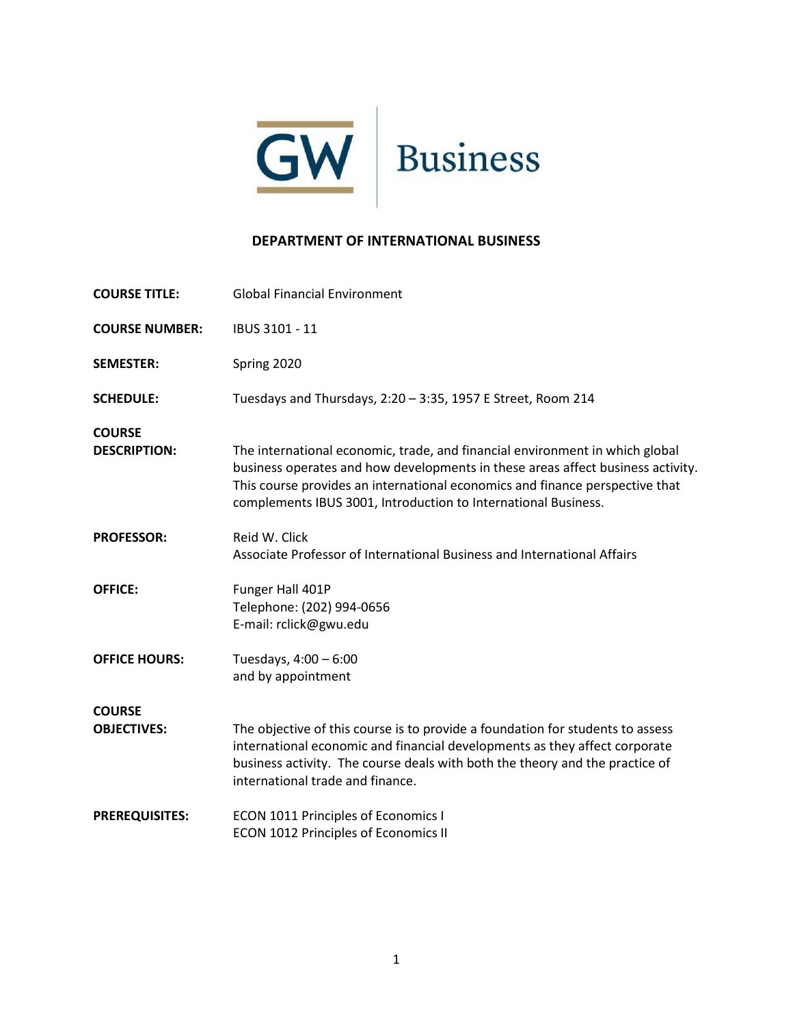

### **DEPARTMENT OF INTERNATIONAL BUSINESS**

| <b>COURSE TITLE:</b>                 | <b>Global Financial Environment</b>                                                                                                                                                                                                                                                                               |
|--------------------------------------|-------------------------------------------------------------------------------------------------------------------------------------------------------------------------------------------------------------------------------------------------------------------------------------------------------------------|
| <b>COURSE NUMBER:</b>                | IBUS 3101 - 11                                                                                                                                                                                                                                                                                                    |
| <b>SEMESTER:</b>                     | Spring 2020                                                                                                                                                                                                                                                                                                       |
| <b>SCHEDULE:</b>                     | Tuesdays and Thursdays, 2:20 - 3:35, 1957 E Street, Room 214                                                                                                                                                                                                                                                      |
| <b>COURSE</b><br><b>DESCRIPTION:</b> | The international economic, trade, and financial environment in which global<br>business operates and how developments in these areas affect business activity.<br>This course provides an international economics and finance perspective that<br>complements IBUS 3001, Introduction to International Business. |
| <b>PROFESSOR:</b>                    | Reid W. Click<br>Associate Professor of International Business and International Affairs                                                                                                                                                                                                                          |
| <b>OFFICE:</b>                       | Funger Hall 401P<br>Telephone: (202) 994-0656<br>E-mail: rclick@gwu.edu                                                                                                                                                                                                                                           |
| <b>OFFICE HOURS:</b>                 | Tuesdays, 4:00 - 6:00<br>and by appointment                                                                                                                                                                                                                                                                       |
| <b>COURSE</b><br><b>OBJECTIVES:</b>  | The objective of this course is to provide a foundation for students to assess<br>international economic and financial developments as they affect corporate<br>business activity. The course deals with both the theory and the practice of<br>international trade and finance.                                  |
| <b>PREREQUISITES:</b>                | <b>ECON 1011 Principles of Economics I</b><br><b>ECON 1012 Principles of Economics II</b>                                                                                                                                                                                                                         |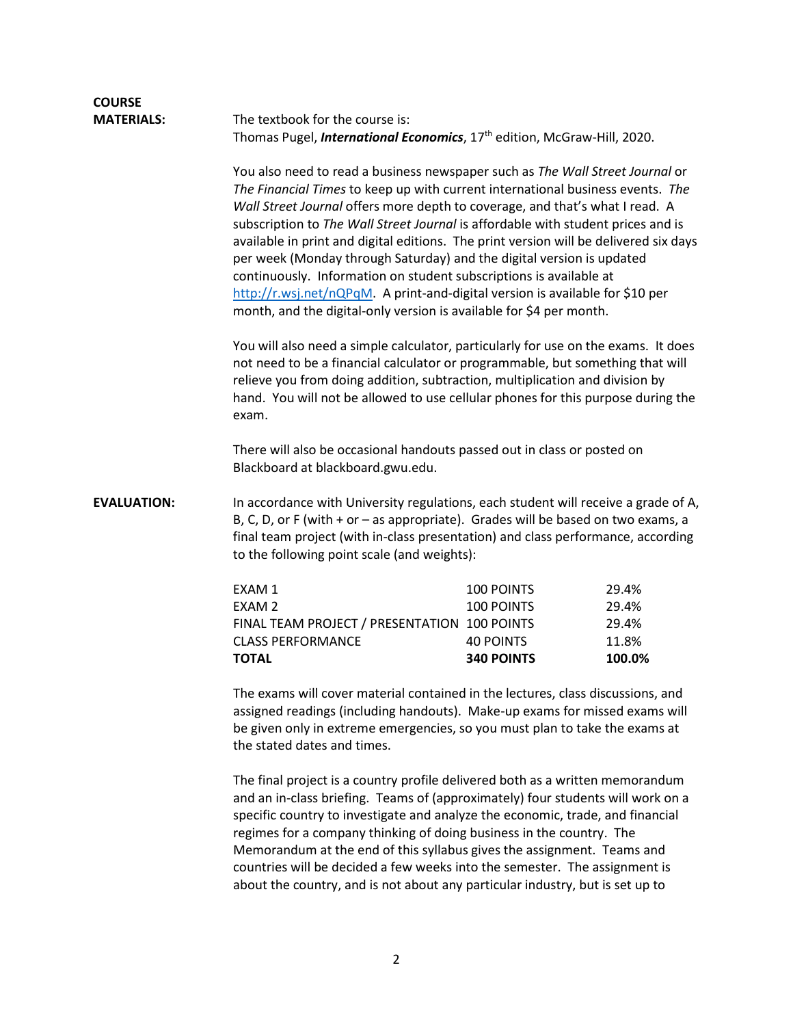### **COURSE MATERIALS:** The textbook for the course is: Thomas Pugel, *International Economics*, 17<sup>th</sup> edition, McGraw-Hill, 2020.

You also need to read a business newspaper such as *The Wall Street Journal* or *The Financial Times* to keep up with current international business events. *The Wall Street Journal* offers more depth to coverage, and that's what I read. A subscription to *The Wall Street Journal* is affordable with student prices and is available in print and digital editions. The print version will be delivered six days per week (Monday through Saturday) and the digital version is updated continuously. Information on student subscriptions is available at [http://r.wsj.net/nQPqM.](http://r.wsj.net/nQPqM) A print-and-digital version is available for \$10 per month, and the digital-only version is available for \$4 per month.

You will also need a simple calculator, particularly for use on the exams. It does not need to be a financial calculator or programmable, but something that will relieve you from doing addition, subtraction, multiplication and division by hand. You will not be allowed to use cellular phones for this purpose during the exam.

There will also be occasional handouts passed out in class or posted on Blackboard at blackboard.gwu.edu.

**EVALUATION:** In accordance with University regulations, each student will receive a grade of A, B, C, D, or F (with + or – as appropriate). Grades will be based on two exams, a final team project (with in-class presentation) and class performance, according to the following point scale (and weights):

| <b>TOTAL</b>                                 | <b>340 POINTS</b> | 100.0% |
|----------------------------------------------|-------------------|--------|
| <b>CLASS PERFORMANCE</b>                     | 40 POINTS         | 11.8%  |
| FINAL TEAM PROJECT / PRESENTATION 100 POINTS |                   | 29.4%  |
| EXAM 2                                       | 100 POINTS        | 29.4%  |
| EXAM 1                                       | 100 POINTS        | 29.4%  |

The exams will cover material contained in the lectures, class discussions, and assigned readings (including handouts). Make-up exams for missed exams will be given only in extreme emergencies, so you must plan to take the exams at the stated dates and times.

The final project is a country profile delivered both as a written memorandum and an in-class briefing. Teams of (approximately) four students will work on a specific country to investigate and analyze the economic, trade, and financial regimes for a company thinking of doing business in the country. The Memorandum at the end of this syllabus gives the assignment. Teams and countries will be decided a few weeks into the semester. The assignment is about the country, and is not about any particular industry, but is set up to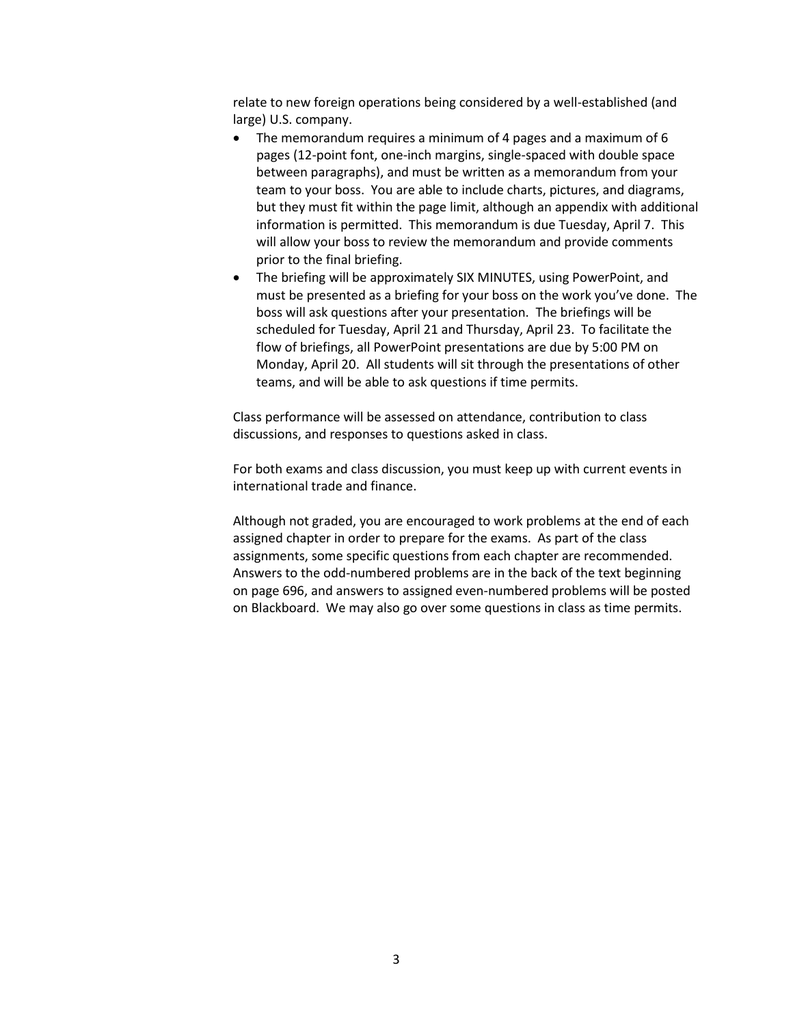relate to new foreign operations being considered by a well-established (and large) U.S. company.

- The memorandum requires a minimum of 4 pages and a maximum of 6 pages (12-point font, one-inch margins, single-spaced with double space between paragraphs), and must be written as a memorandum from your team to your boss. You are able to include charts, pictures, and diagrams, but they must fit within the page limit, although an appendix with additional information is permitted. This memorandum is due Tuesday, April 7. This will allow your boss to review the memorandum and provide comments prior to the final briefing.
- The briefing will be approximately SIX MINUTES, using PowerPoint, and must be presented as a briefing for your boss on the work you've done. The boss will ask questions after your presentation. The briefings will be scheduled for Tuesday, April 21 and Thursday, April 23. To facilitate the flow of briefings, all PowerPoint presentations are due by 5:00 PM on Monday, April 20. All students will sit through the presentations of other teams, and will be able to ask questions if time permits.

Class performance will be assessed on attendance, contribution to class discussions, and responses to questions asked in class.

For both exams and class discussion, you must keep up with current events in international trade and finance.

Although not graded, you are encouraged to work problems at the end of each assigned chapter in order to prepare for the exams. As part of the class assignments, some specific questions from each chapter are recommended. Answers to the odd-numbered problems are in the back of the text beginning on page 696, and answers to assigned even-numbered problems will be posted on Blackboard. We may also go over some questions in class as time permits.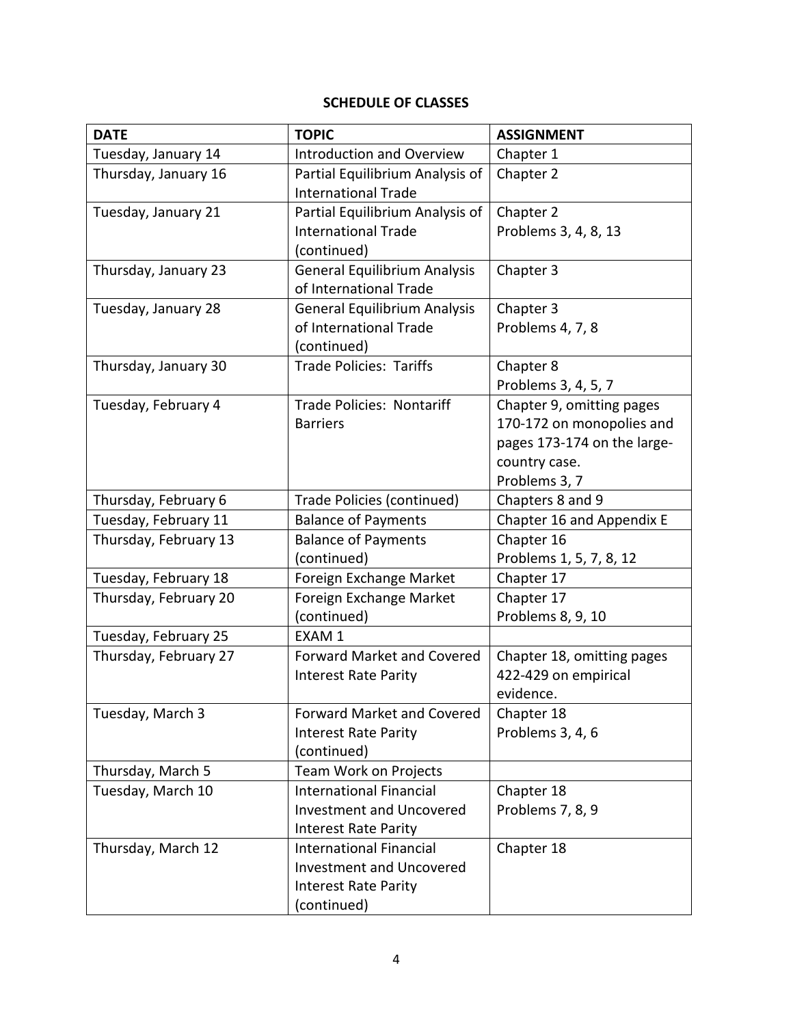# **SCHEDULE OF CLASSES**

| <b>DATE</b>           | <b>TOPIC</b>                        | <b>ASSIGNMENT</b>           |
|-----------------------|-------------------------------------|-----------------------------|
| Tuesday, January 14   | <b>Introduction and Overview</b>    | Chapter 1                   |
| Thursday, January 16  | Partial Equilibrium Analysis of     | Chapter 2                   |
|                       | <b>International Trade</b>          |                             |
| Tuesday, January 21   | Partial Equilibrium Analysis of     | Chapter 2                   |
|                       | <b>International Trade</b>          | Problems 3, 4, 8, 13        |
|                       | (continued)                         |                             |
| Thursday, January 23  | General Equilibrium Analysis        | Chapter 3                   |
|                       | of International Trade              |                             |
| Tuesday, January 28   | <b>General Equilibrium Analysis</b> | Chapter 3                   |
|                       | of International Trade              | Problems 4, 7, 8            |
|                       | (continued)                         |                             |
| Thursday, January 30  | <b>Trade Policies: Tariffs</b>      | Chapter 8                   |
|                       |                                     | Problems 3, 4, 5, 7         |
| Tuesday, February 4   | <b>Trade Policies: Nontariff</b>    | Chapter 9, omitting pages   |
|                       | <b>Barriers</b>                     | 170-172 on monopolies and   |
|                       |                                     | pages 173-174 on the large- |
|                       |                                     | country case.               |
|                       |                                     | Problems 3, 7               |
| Thursday, February 6  | Trade Policies (continued)          | Chapters 8 and 9            |
| Tuesday, February 11  | <b>Balance of Payments</b>          | Chapter 16 and Appendix E   |
| Thursday, February 13 | <b>Balance of Payments</b>          | Chapter 16                  |
|                       | (continued)                         | Problems 1, 5, 7, 8, 12     |
| Tuesday, February 18  | Foreign Exchange Market             | Chapter 17                  |
| Thursday, February 20 | Foreign Exchange Market             | Chapter 17                  |
|                       | (continued)                         | Problems 8, 9, 10           |
| Tuesday, February 25  | EXAM 1                              |                             |
| Thursday, February 27 | <b>Forward Market and Covered</b>   | Chapter 18, omitting pages  |
|                       | <b>Interest Rate Parity</b>         | 422-429 on empirical        |
|                       |                                     | evidence.                   |
| Tuesday, March 3      | <b>Forward Market and Covered</b>   | Chapter 18                  |
|                       | <b>Interest Rate Parity</b>         | Problems 3, 4, 6            |
|                       | (continued)                         |                             |
| Thursday, March 5     | Team Work on Projects               |                             |
| Tuesday, March 10     | <b>International Financial</b>      | Chapter 18                  |
|                       | <b>Investment and Uncovered</b>     | Problems 7, 8, 9            |
|                       | <b>Interest Rate Parity</b>         |                             |
| Thursday, March 12    | <b>International Financial</b>      | Chapter 18                  |
|                       | <b>Investment and Uncovered</b>     |                             |
|                       | <b>Interest Rate Parity</b>         |                             |
|                       | (continued)                         |                             |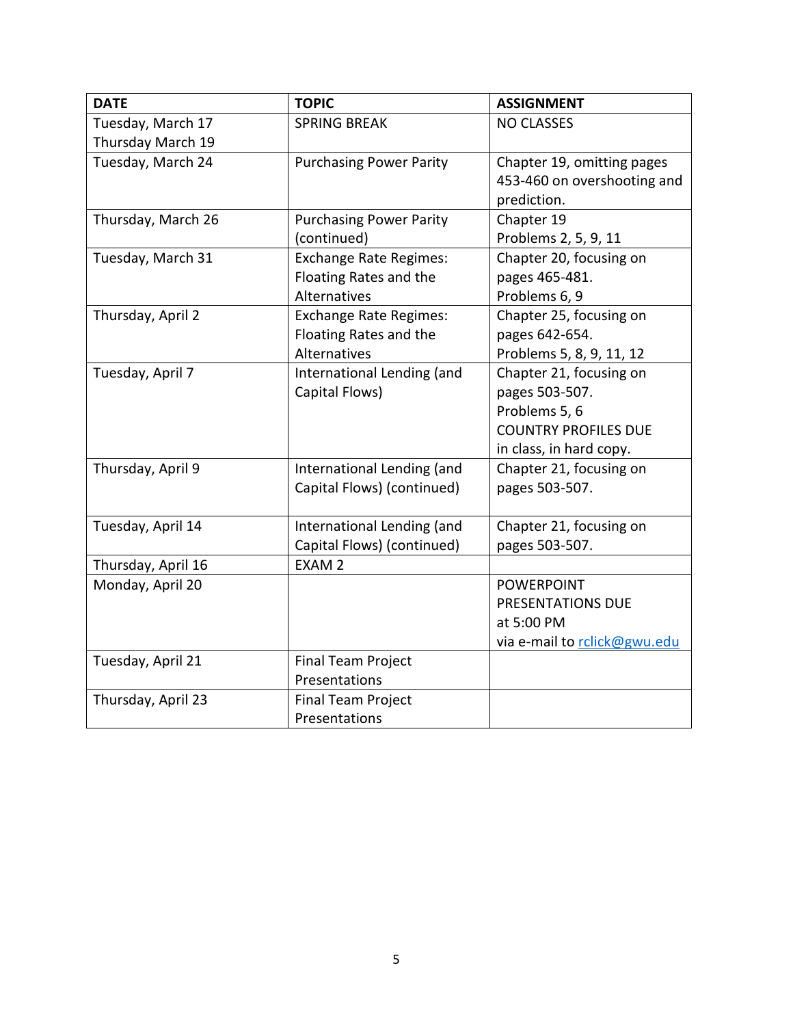| <b>DATE</b>        | <b>TOPIC</b>                   | <b>ASSIGNMENT</b>            |
|--------------------|--------------------------------|------------------------------|
| Tuesday, March 17  | <b>SPRING BREAK</b>            | <b>NO CLASSES</b>            |
| Thursday March 19  |                                |                              |
| Tuesday, March 24  | <b>Purchasing Power Parity</b> | Chapter 19, omitting pages   |
|                    |                                | 453-460 on overshooting and  |
|                    |                                | prediction.                  |
| Thursday, March 26 | <b>Purchasing Power Parity</b> | Chapter 19                   |
|                    | (continued)                    | Problems 2, 5, 9, 11         |
| Tuesday, March 31  | <b>Exchange Rate Regimes:</b>  | Chapter 20, focusing on      |
|                    | Floating Rates and the         | pages 465-481.               |
|                    | Alternatives                   | Problems 6, 9                |
| Thursday, April 2  | <b>Exchange Rate Regimes:</b>  | Chapter 25, focusing on      |
|                    | Floating Rates and the         | pages 642-654.               |
|                    | Alternatives                   | Problems 5, 8, 9, 11, 12     |
| Tuesday, April 7   | International Lending (and     | Chapter 21, focusing on      |
|                    | Capital Flows)                 | pages 503-507.               |
|                    |                                | Problems 5, 6                |
|                    |                                | <b>COUNTRY PROFILES DUE</b>  |
|                    |                                | in class, in hard copy.      |
| Thursday, April 9  | International Lending (and     | Chapter 21, focusing on      |
|                    | Capital Flows) (continued)     | pages 503-507.               |
|                    |                                |                              |
| Tuesday, April 14  | International Lending (and     | Chapter 21, focusing on      |
|                    | Capital Flows) (continued)     | pages 503-507.               |
| Thursday, April 16 | EXAM <sub>2</sub>              |                              |
| Monday, April 20   |                                | <b>POWERPOINT</b>            |
|                    |                                | PRESENTATIONS DUE            |
|                    |                                | at 5:00 PM                   |
|                    |                                | via e-mail to rclick@gwu.edu |
| Tuesday, April 21  | Final Team Project             |                              |
|                    | Presentations                  |                              |
| Thursday, April 23 | <b>Final Team Project</b>      |                              |
|                    | Presentations                  |                              |